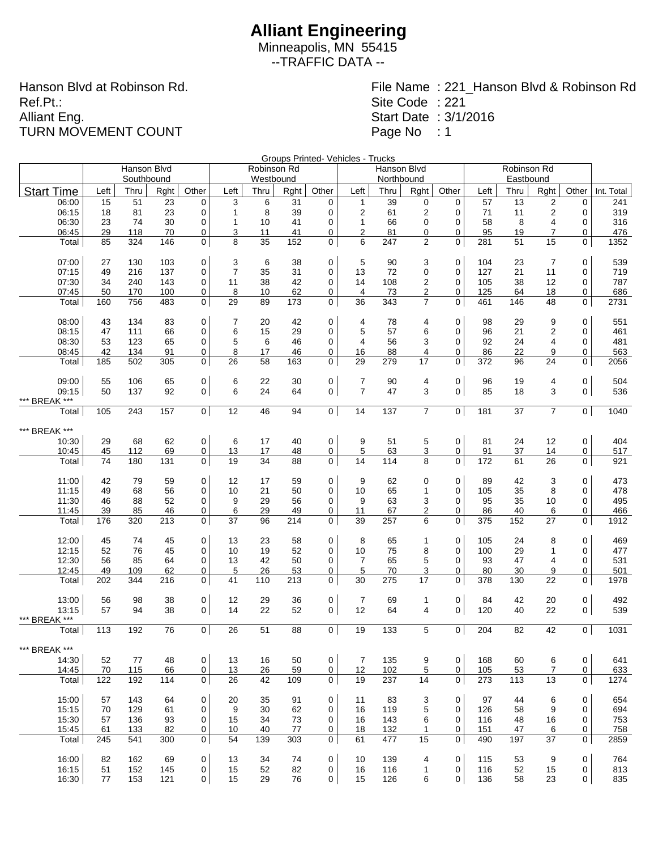Minneapolis, MN 55415 --TRAFFIC DATA --

Hanson Blvd at Robinson Rd. Ref.Pt.: Alliant Eng. TURN MOVEMENT COUNT

|                        |      | Hanson Blvd |      |                |                | Robinson Rd |      |                | Groups Printed- Vehicles - Trucks | Hanson Blvd |                |                |      | Robinson Rd |                         |                |            |
|------------------------|------|-------------|------|----------------|----------------|-------------|------|----------------|-----------------------------------|-------------|----------------|----------------|------|-------------|-------------------------|----------------|------------|
|                        |      | Southbound  |      |                |                | Westbound   |      |                |                                   | Northbound  |                |                |      |             |                         |                |            |
| <b>Start Time</b>      | Left | Thru        | Rght | Other          | Left           | Thru        | Rght | Other          | Left                              | Thru        | Rght           | Other          | Left | Thru        | Rght                    | Other          | Int. Total |
| 06:00                  | 15   | 51          | 23   | 0              | 3              | 6           | 31   | 0              | $\mathbf{1}$                      | 39          | $\pmb{0}$      | 0              | 57   | 13          | 2                       | $\mathbf 0$    | 241        |
| 06:15                  | 18   | 81          | 23   | $\mathbf 0$    | 1              | 8           | 39   | 0              | $\overline{2}$                    | 61          | $\overline{c}$ | 0              | 71   | 11          | $\overline{\mathbf{c}}$ | $\mathbf 0$    | 319        |
| 06:30                  | 23   | 74          | 30   | 0              | $\mathbf{1}$   | 10          | 41   | 0              | $\mathbf{1}$                      | 66          | 0              | 0              | 58   | 8           | 4                       | 0              | 316        |
| 06:45                  | 29   | 118         | 70   | 0              | 3              | 11          | 41   | 0              | 2                                 | 81          | 0              | 0              | 95   | 19          | $\overline{7}$          | 0              | 476        |
| Total                  | 85   | 324         | 146  | 0              | 8              | 35          | 152  | $\mathbf 0$    | 6                                 | 247         | $\overline{2}$ | 0              | 281  | 51          | 15                      | $\mathsf{O}$   | 1352       |
| 07:00                  | 27   | 130         | 103  | $\pmb{0}$      | 3              | 6           | 38   | 0              | 5                                 | 90          | 3              | $\mathbf 0$    | 104  | 23          | 7                       | 0              | 539        |
| 07:15                  | 49   | 216         | 137  | 0              | $\overline{7}$ | 35          | 31   | $\mathbf 0$    | 13                                | 72          | 0              | 0              | 127  | 21          | 11                      | 0              | 719        |
| 07:30                  | 34   | 240         | 143  | 0              | 11             | 38          | 42   | 0              | 14                                | 108         | $\overline{2}$ | 0              | 105  | 38          | 12                      | 0              | 787        |
| 07:45                  | 50   | 170         | 100  | 0              | 8              | 10          | 62   | 0              | 4                                 | 73          | $\overline{2}$ | 0              | 125  | 64          | 18                      | 0              | 686        |
| Total                  | 160  | 756         | 483  | $\mathbf{0}$   | 29             | 89          | 173  | $\mathbf{0}$   | 36                                | 343         | $\overline{7}$ | 0              | 461  | 146         | 48                      | $\mathbf 0$    | 2731       |
| 08:00                  | 43   | 134         | 83   | $\pmb{0}$      | 7              | 20          | 42   | 0              | 4                                 | 78          | 4              | 0              | 98   | 29          | 9                       | 0              | 551        |
| 08:15                  | 47   | 111         | 66   | 0              | 6              | 15          | 29   | 0              | 5                                 | 57          | 6              | 0              | 96   | 21          | 2                       | 0              | 461        |
| 08:30                  | 53   | 123         | 65   | 0              | 5              | 6           | 46   | 0              | $\overline{4}$                    | 56          | 3              | 0              | 92   | 24          | 4                       | 0              | 481        |
| 08:45                  | 42   | 134         | 91   | 0              | 8              | 17          | 46   | 0              | 16                                | 88          | 4              | 0              | 86   | 22          | 9                       | 0              | 563        |
| Total                  | 185  | 502         | 305  | $\mathbf 0$    | 26             | 58          | 163  | $\mathbf 0$    | 29                                | 279         | 17             | 0              | 372  | 96          | 24                      | $\mathbf 0$    | 2056       |
| 09:00                  | 55   | 106         | 65   | 0              | 6              | 22          | 30   | 0              | $\overline{7}$                    | 90          | 4              | 0              | 96   | 19          | 4                       | 0              | 504        |
| 09:15                  | 50   | 137         | 92   | $\mathbf 0$    | 6              | 24          | 64   | 0              | $\overline{7}$                    | 47          | 3              | 0              | 85   | 18          | 3                       | 0              | 536        |
| *** BREAK ***<br>Total | 105  | 243         | 157  | $\mathbf 0$    | 12             | 46          | 94   | 0 <sup>1</sup> | 14                                | 137         | $\overline{7}$ | 0 <sup>1</sup> | 181  | 37          | $\overline{7}$          | 0 <sup>1</sup> | 1040       |
|                        |      |             |      |                |                |             |      |                |                                   |             |                |                |      |             |                         |                |            |
| *** BREAK ***          |      |             |      |                |                |             |      |                |                                   |             |                |                |      |             |                         |                |            |
| 10:30                  | 29   | 68          | 62   | $\pmb{0}$      | 6              | 17          | 40   | 0              | 9                                 | 51          | 5              | 0              | 81   | 24          | 12                      | $\mathbf 0$    | 404        |
| 10:45                  | 45   | 112         | 69   | $\overline{0}$ | <u>13</u>      | 17          | 48   | 0              | $\overline{5}$<br>14              | 63          | 3              | 0              | 91   | 37          | 14                      | 0              | 517        |
| Total                  | 74   | 180         | 131  | $\mathbf 0$    | 19             | 34          | 88   | $\mathbf 0$    |                                   | 114         | 8              | 0              | 172  | 61          | 26                      | $\mathsf{O}$   | 921        |
| 11:00                  | 42   | 79          | 59   | $\pmb{0}$      | 12             | 17          | 59   | 0              | 9                                 | 62          | 0              | $\mathbf 0$    | 89   | 42          | 3                       | 0              | 473        |
| 11:15                  | 49   | 68          | 56   | 0              | 10             | 21          | 50   | $\mathbf 0$    | 10                                | 65          | $\mathbf{1}$   | 0              | 105  | 35          | 8                       | 0              | 478        |
| 11:30                  | 46   | 88          | 52   | 0              | 9              | 29          | 56   | $\mathbf 0$    | 9                                 | 63          | 3              | $\mathbf 0$    | 95   | 35          | 10                      | 0              | 495        |
| 11:45                  | 39   | 85          | 46   | 0              | 6              | 29          | 49   | 0              | 11                                | 67          | $\overline{2}$ | 0              | 86   | 40          | 6                       | 0              | 466        |
| Total                  | 176  | 320         | 213  | $\mathbf{0}$   | 37             | 96          | 214  | $\mathbf 0$    | 39                                | 257         | 6              | $\mathbf 0$    | 375  | 152         | 27                      | 0              | 1912       |
| 12:00                  | 45   | 74          | 45   | $\pmb{0}$      | 13             | 23          | 58   | 0              | 8                                 | 65          | 1              | $\mathbf 0$    | 105  | 24          | 8                       | 0              | 469        |
| 12:15                  | 52   | 76          | 45   | 0              | 10             | 19          | 52   | $\mathbf 0$    | 10                                | 75          | 8              | 0              | 100  | 29          | 1                       | 0              | 477        |
| 12:30                  | 56   | 85          | 64   | 0              | 13             | 42          | 50   | $\mathbf 0$    | $\overline{7}$                    | 65          | 5              | 0              | 93   | 47          | 4                       | $\mathbf 0$    | 531        |
| 12:45                  | 49   | 109         | 62   | 0              | 5              | 26          | 53   | 0              | 5                                 | 70          | 3              | 0              | 80   | 30          | 9                       | 0              | 501        |
| Total                  | 202  | 344         | 216  | $\overline{0}$ | 41             | 110         | 213  | $\mathbf{0}$   | 30                                | 275         | 17             | 0              | 378  | 130         | 22                      | $\mathbf 0$    | 1978       |
| 13:00                  | 56   | 98          | 38   | 0              | 12             | 29          | 36   | 0              | $\overline{7}$                    | 69          | 1              | 0              | 84   | 42          | 20                      | 0              | 492        |
| 13:15                  | 57   | 94          | 38   | $\mathbf 0$    | 14             | 22          | 52   | 0              | 12                                | 64          | 4              | 0              | 120  | 40          | 22                      | 0              | 539        |
| *** BREAK ***<br>Total | 113  | 192         | 76   | 0              | 26             | 51          | 88   | 0              | 19                                | 133         | 5              | 0              | 204  | 82          | 42                      | 0              | 1031       |
|                        |      |             |      |                |                |             |      |                |                                   |             |                |                |      |             |                         |                |            |
| *** BREAK ***          |      |             |      |                |                |             |      |                |                                   |             |                |                |      |             |                         |                |            |
| 14:30                  | 52   | 77          | 48   | $\mathbf 0$    | 13             | 16          | 50   | 0              | $\overline{7}$                    | 135         | 9              | $\mathbf 0$    | 168  | 60          | 6                       | $\mathbf 0$    | 641        |
| 14:45                  | 70   | 115         | 66   | $\overline{0}$ | 13             | 26          | 59   | $\overline{0}$ | 12                                | 102         | 5              | 0              | 105  | 53          | $\overline{7}$          | $\mathsf{O}$   | 633        |
| Total                  | 122  | 192         | 114  | $\mathbf 0$    | 26             | 42          | 109  | $\overline{0}$ | 19                                | 237         | 14             | 0              | 273  | 113         | 13                      | 0 <sup>1</sup> | 1274       |
| 15:00                  | 57   | 143         | 64   | 0              | 20             | 35          | 91   | 0              | 11                                | 83          | 3              | 0              | 97   | 44          | 6                       | 0              | 654        |
| 15:15                  | 70   | 129         | 61   | 0              | 9              | 30          | 62   | $\mathbf 0$    | 16                                | 119         | 5              | 0              | 126  | 58          | 9                       | 0              | 694        |
| 15:30                  | 57   | 136         | 93   | 0              | 15             | 34          | 73   | 0              | 16                                | 143         | 6              | 0              | 116  | 48          | 16                      | 0              | 753        |
| 15:45                  | 61   | 133         | 82   | $\overline{0}$ | 10             | 40          | 77   | 0              | 18                                | 132         | $\mathbf{1}$   | 0              | 151  | 47          | 6                       | 0              | 758        |
| Total                  | 245  | 541         | 300  | $\mathbf 0$    | 54             | 139         | 303  | $\overline{0}$ | 61                                | 477         | 15             | 0              | 490  | 197         | 37                      | 0 <sup>1</sup> | 2859       |
| 16:00                  | 82   | 162         | 69   | 0              | 13             | 34          | 74   | 0              | 10                                | 139         | 4              | $\mathbf 0$    | 115  | 53          | 9                       | 0              | 764        |
| 16:15                  | 51   | 152         | 145  | 0              | 15             | 52          | 82   | 0              | 16                                | 116         | $\mathbf{1}$   | 0              | 116  | 52          | 15                      | 0              | 813        |
| 16:30                  | 77   | 153         | 121  | $\mathbf 0$    | 15             | 29          | 76   | 0              | 15                                | 126         | 6              | 0              | 136  | 58          | 23                      | 0              | 835        |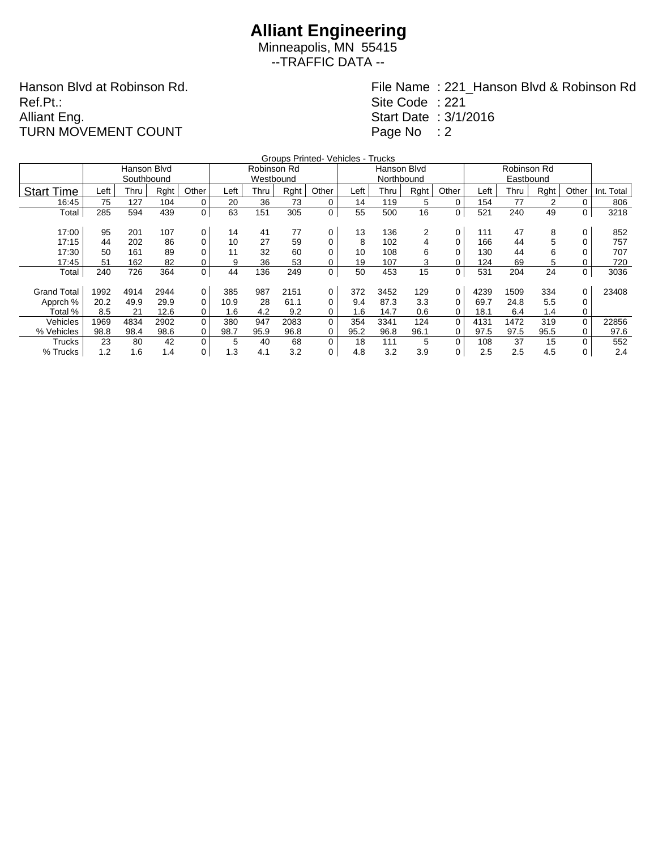Minneapolis, MN 55415 --TRAFFIC DATA --

Hanson Blvd at Robinson Rd. Ref.Pt.: Alliant Eng. TURN MOVEMENT COUNT

|                    |      |             |      |       |      |             |      | Groups Printed- Vehicles - Trucks |      |             |      |          |      |      |      |       |            |
|--------------------|------|-------------|------|-------|------|-------------|------|-----------------------------------|------|-------------|------|----------|------|------|------|-------|------------|
|                    |      | Hanson Blvd |      |       |      | Robinson Rd |      |                                   |      | Hanson Blvd |      |          |      |      |      |       |            |
|                    |      | Southbound  |      |       |      | Westbound   |      |                                   |      | Northbound  |      |          |      |      |      |       |            |
| <b>Start Time</b>  | Left | Thru        | Rght | Other | Left | Thru        | Rght | Other                             | Left | Thru        | Rght | Other    | Left | Thru | Rght | Other | Int. Total |
| 16:45              | 75   | 127         | 104  | 0     | 20   | 36          | 73   | 0                                 | 14   | 119         | 5    | 0        | 154  | 77   | 2    | 0     | 806        |
| Total              | 285  | 594         | 439  | 0     | 63   | 151         | 305  | 0                                 | 55   | 500         | 16   | 0        | 521  | 240  | 49   | 0     | 3218       |
|                    |      |             |      |       |      |             |      |                                   |      |             |      |          |      |      |      |       |            |
| 17:00              | 95   | 201         | 107  | 0     | 14   | 41          | 77   | 0                                 | 13   | 136         | 2    | 0        | 111  | 47   | 8    | 0     | 852        |
| 17:15              | 44   | 202         | 86   | 0     | 10   | 27          | 59   | 0                                 | 8    | 102         | 4    |          | 166  | 44   | 5    |       | 757        |
| 17:30              | 50   | 161         | 89   | 0     | 11   | 32          | 60   | 0                                 | 10   | 108         | 6    |          | 130  | 44   | 6    |       | 707        |
| 17:45              | 51   | 162         | 82   | 0     | 9    | 36          | 53   | 0                                 | 19   | 107         | 3    |          | 124  | 69   | 5    |       | 720        |
| Total              | 240  | 726         | 364  | 0     | 44   | 136         | 249  | 0                                 | 50   | 453         | 15   | 0        | 531  | 204  | 24   | 0     | 3036       |
|                    |      |             |      |       |      |             |      |                                   |      |             |      |          |      |      |      |       |            |
| <b>Grand Total</b> | 1992 | 4914        | 2944 | 0     | 385  | 987         | 2151 | 0                                 | 372  | 3452        | 129  | 0        | 4239 | 1509 | 334  | 0     | 23408      |
| Apprch %           | 20.2 | 49.9        | 29.9 | 0     | 10.9 | 28          | 61.1 | 0                                 | 9.4  | 87.3        | 3.3  | 0        | 69.7 | 24.8 | 5.5  |       |            |
| Total %            | 8.5  | 21          | 12.6 | 0     | 1.6  | 4.2         | 9.2  | 0                                 | 1.6  | 14.7        | 0.6  | 0        | 18.1 | 6.4  | 1.4  | 0     |            |
| Vehicles           | 1969 | 4834        | 2902 | 0     | 380  | 947         | 2083 | 0                                 | 354  | 3341        | 124  | $\Omega$ | 4131 | 1472 | 319  | 0     | 22856      |
| % Vehicles         | 98.8 | 98.4        | 98.6 | 0     | 98.7 | 95.9        | 96.8 | 0                                 | 95.2 | 96.8        | 96.1 |          | 97.5 | 97.5 | 95.5 | 0     | 97.6       |
| Trucks             | 23   | 80          | 42   | 0     | 5    | 40          | 68   | 0                                 | 18   | 111         | 5    | $\Omega$ | 108  | 37   | 15   |       | 552        |
| % Trucks           | 1.2  | 1.6         | 1.4  | 0     | 1.3  | 4.1         | 3.2  | 0                                 | 4.8  | 3.2         | 3.9  | 0        | 2.5  | 2.5  | 4.5  | 0     | 2.4        |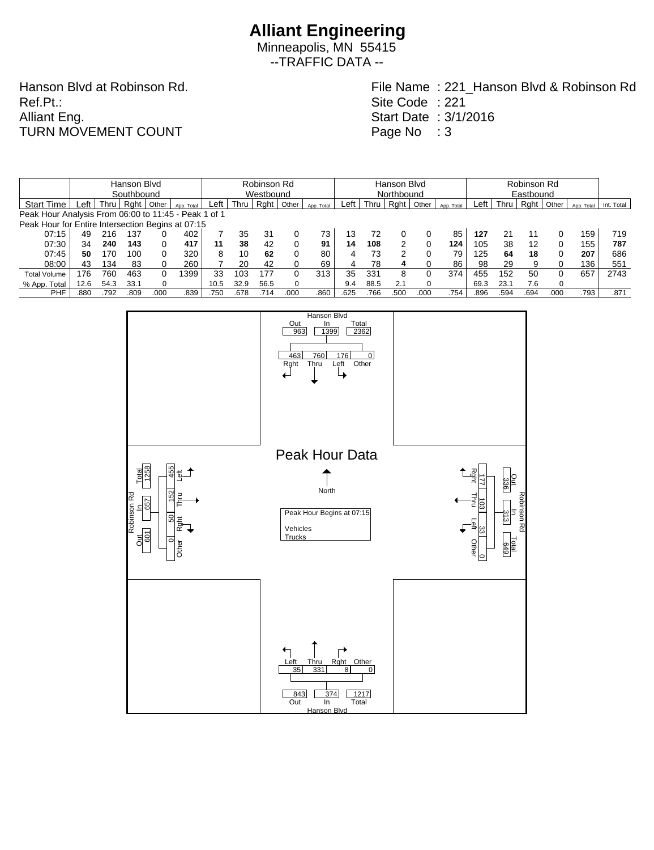Minneapolis, MN 55415 --TRAFFIC DATA --

Hanson Blvd at Robinson Rd. Ref.Pt.: Alliant Eng. TURN MOVEMENT COUNT

|                                                      | Hanson Blvd |      |      |       |            |      | Robinson Rd |      |          |            |      |            | Hanson Blvd |          |            |      |      |           | Robinson Rd |            |            |  |  |  |
|------------------------------------------------------|-------------|------|------|-------|------------|------|-------------|------|----------|------------|------|------------|-------------|----------|------------|------|------|-----------|-------------|------------|------------|--|--|--|
|                                                      | Southbound  |      |      |       |            |      | Westbound   |      |          |            |      | Northbound |             |          |            |      |      | Eastbound |             |            |            |  |  |  |
| <b>Start Time</b>                                    | ∟eft        | Thru | Raht | Other | App. Total | Left | Thru        | Rght | Other    | App. Total | Left | Thru       | Rght        | Other    | App. Total | Left | Thru | Rght      | Other       | App. Total | Int. Total |  |  |  |
| Peak Hour Analysis From 06:00 to 11:45 - Peak 1 of 1 |             |      |      |       |            |      |             |      |          |            |      |            |             |          |            |      |      |           |             |            |            |  |  |  |
| Peak Hour for Entire Intersection Begins at 07:15    |             |      |      |       |            |      |             |      |          |            |      |            |             |          |            |      |      |           |             |            |            |  |  |  |
| 07:15                                                | 49          | 216  | 137  |       | 402        |      | 35          | 31   |          | 73         | 13   | 72         |             |          | 85         | 127  | 21   | 11        |             | 159        | 719        |  |  |  |
| 07:30                                                | 34          | 240  | 143  |       | 417        | 11   | 38          | 42   | 0        | 91         | 14   | 108        | 2           |          | 124        | 105  | 38   | 12        | 0           | 155        | 787        |  |  |  |
| 07:45                                                | 50          | 170  | 100  |       | 320        | 8    | 10          | 62   | 0        | 80         | 4    | 73         | ົ           |          | 79         | 125  | 64   | 18        | 0           | 207        | 686        |  |  |  |
| 08:00                                                | 43          | 134  | 83   |       | 260        |      | 20          | 42   |          | 69         | 4    | 78         |             |          | 86         | 98   | 29   | 9         | $\Omega$    | 136        | 551        |  |  |  |
| <b>Total Volume</b>                                  | 176         | 760  | 463  |       | 1399       | 33   | 103         | 177  |          | 313        | 35   | 331        | 8           | 0        | 374        | 455  | 152  | 50        | 0           | 657        | 2743       |  |  |  |
| % App. Total                                         | 12.6        | 54.3 | 33.1 |       |            | 10.5 | 32.9        | 56.5 | $\Omega$ |            | 9.4  | 88.5       | 2.1         | $\Omega$ |            | 69.3 | 23.1 | 7.6       | $\Omega$    |            |            |  |  |  |
| PHF                                                  | .880        | .792 | .809 | .000  | .839       | .750 | .678        | 714  | .000     | .860       | .625 | .766       | .500        | .000     | .754       | .896 | .594 | .694      | .000        | .793       | .871       |  |  |  |